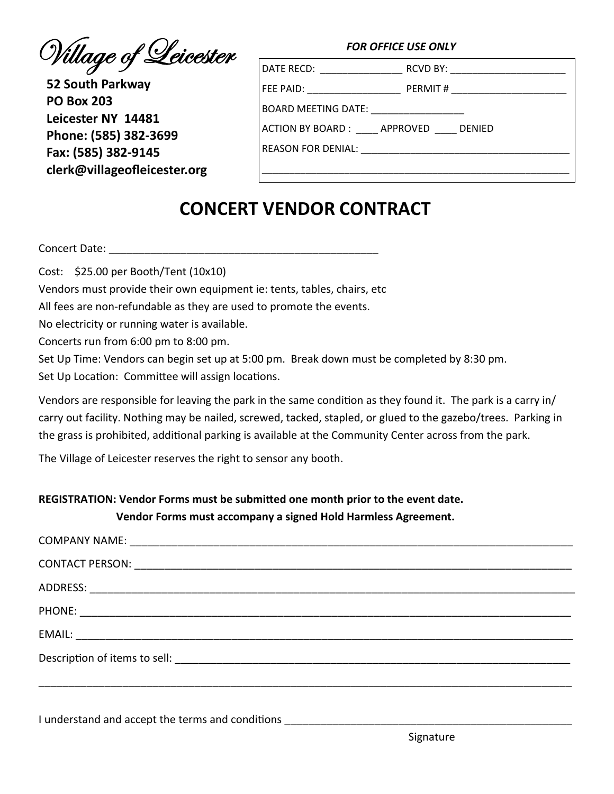Willage of Leicester

52 South Parkway **PO Box 203** Leicester NY 14481 Phone: (585) 382-3699 Fax: (585) 382-9145 clerk@villageofleicester.org

| FOR OFFICE USE ONLY |  |
|---------------------|--|
|                     |  |

|                                                               | RCVD BY: _______________________ |  |
|---------------------------------------------------------------|----------------------------------|--|
|                                                               | PERMIT # ______________________  |  |
|                                                               |                                  |  |
| ACTION BY BOARD :               APPROVED               DENIED |                                  |  |
| REASON FOR DENIAL: ___________________________________        |                                  |  |
|                                                               |                                  |  |

## **CONCERT VENDOR CONTRACT**

Concert Date: None

Cost: \$25.00 per Booth/Tent (10x10)

Vendors must provide their own equipment ie: tents, tables, chairs, etc

All fees are non-refundable as they are used to promote the events.

No electricity or running water is available.

Concerts run from 6:00 pm to 8:00 pm.

Set Up Time: Vendors can begin set up at 5:00 pm. Break down must be completed by 8:30 pm. Set Up Location: Committee will assign locations.

Vendors are responsible for leaving the park in the same condition as they found it. The park is a carry in/ carry out facility. Nothing may be nailed, screwed, tacked, stapled, or glued to the gazebo/trees. Parking in the grass is prohibited, additional parking is available at the Community Center across from the park.

The Village of Leicester reserves the right to sensor any booth.

## REGISTRATION: Vendor Forms must be submitted one month prior to the event date. Vendor Forms must accompany a signed Hold Harmless Agreement.

I understand and accept the terms and conditions